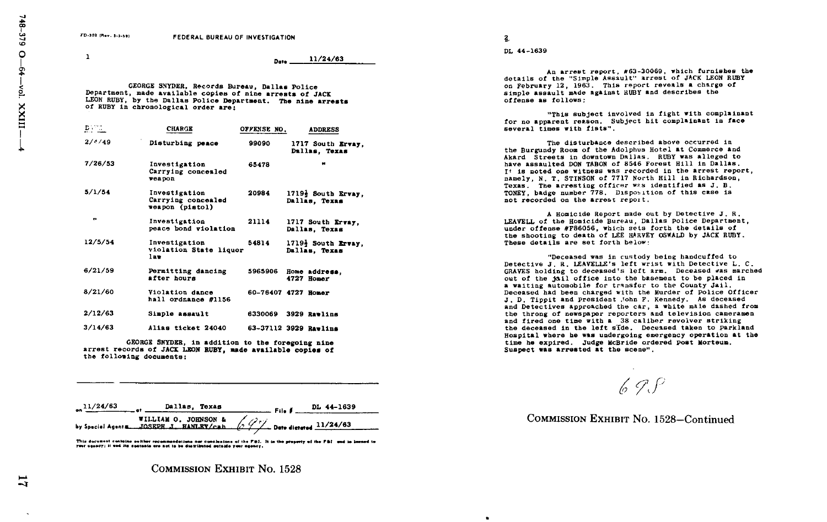$\mathbf{1}$ 

Date 11/24/63

GEORGE SNYDER, Records Bureau, Dallas Police Department, made available copies of nine arrests of JACK LEON RUBY, by the Dallas Police Department. The nine arrests of RUBY in chronological order are:

| DVTD.   | <b>CHARGE</b>                                          | OFFENSE NO. | <b>ADDRESS</b>                      |
|---------|--------------------------------------------------------|-------------|-------------------------------------|
| 2/6/49  | Disturbing peace                                       | 99090       | 1717 South Ervay<br>Dallas, Texas   |
| 7/26/53 | Investigation<br>Carrying concesled<br>veapon          | 65478       |                                     |
| 5/1/54  | Investigation<br>Carrying concealed<br>weapon (pistol) | 20984       | 1719} South Ervay,<br>Dallas. Texas |
| .,      | Investigation<br>peace bond violation                  | 21114       | 1717 South Ervay,<br>Dallas, Texas  |
| 12/5/54 | Investigation<br>violation State liquor<br>189         | 54814       | 1719} South Ervay.<br>Dallas, Texas |
| 6/21/59 | Permitting dancing<br>after hours                      | 5965906     | Home address,<br>4727 Homer         |
| 8/21/60 | Violation dance<br>hall ordnance #1156                 |             | 60-76407 4727 Homer                 |
| 2/12/63 | Simple assault                                         | 6330069     | 3929 Rawlins                        |
| 3/14/63 | Alias ticket 24040                                     |             | 63-37112 3929 Ravling               |
|         |                                                        |             |                                     |

GEORGE SNYDER, in addition to the foregoing nine arrest records of JACK LEON RUBY, made available copies of the following documents :

|  | $\frac{11}{24/63}$ of Dallas, Texas                     |  | DL 44-1639 |
|--|---------------------------------------------------------|--|------------|
|  | WILLIAM O. JOHNSON & $\sqrt{77}$ Dete distance 11/24/63 |  |            |

This document contains author recommendations nor conclusions of the FBI. It is the property of the FBI-and in<br>Your apsery; it and its doctants are not to be distributed outside your appery.

COMMISSION EXHIBIT No. 1528

 $\mathbf{2}$ 

 $\bullet$ 

DL 44-1639

An arrest report, #63-30069, which furnishes the details of the "Simple Assault" arrest of JACK LEON RUBY on February 12, 1963. This report reveals a charge of simple assault made against RUBY and describes the offense as follows :

"This subject involved 1n fight with complainant for no apparent reason. Subject hit complainant in face several times with fists" .

The disturbance described above occurred in the Burgundy Room of the Adolphus Hotel at Commerce and Akard Streets in downtown Dallas. RUBY was alleged to have assaulted DON TABON of 8546 Forest Hill in Dallas . It is noted one witness was recorded in the arrest report, namely, N, T, STINSON of 7717 North Hill in Richardson, Texas. The arresting officer was identified as J. B. TONEY, badge number 778. Disposition of this case is not recorded on the arrest report .

A Homicide Report made out by Detective J. R. LEAVELL of the Homicide Bureau, Dallas Police Department, under offense #F86056, which sets forth the details of the shooting to death of LEE HARVEY OSWALD by JACK RUBY . These details are set forth below:

"Deceased was in custody being handcuffed to Detective J. R. LEAVELLE's left wrist with Detective L. C. GRAVES holding to deceased's left arm. Deceased was marched out of the jail office into the basement to be placed in <sup>a</sup> waiting automobile for transfer to the County Jail, Deceased had been charged with the Murder of Police Officer J. D. Tippit and President John F. Kennedy. As deceased and Detectives approached the car, a white male dashed from the throng of newspaper reporters and television cameramen and fired one time with a 38 caliber revolver striking the deceased in the left aide . Deceased taken to parkland Hospital where he was undergoing emergency operation at the time he expired. Judge McBride ordered Post Morteum. Suspect was arrested at the scene" .

 $69.9$ 

COMMISSION EXHIBIT No. 1528-Continued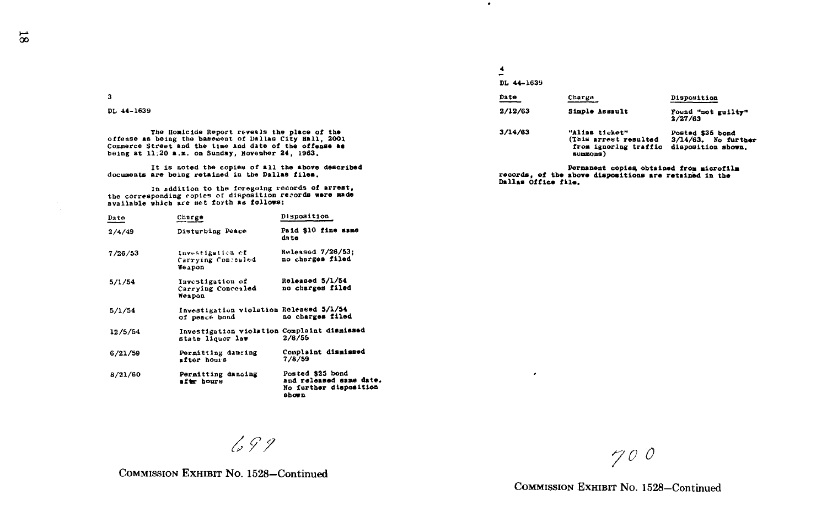| ٦ |
|---|
|   |
|   |

DL 44-1639

The Homicide Report reveals the place of the offense as being the basement of Dallas City Hall, 2001 Commerce Street and the time and date of the offense as being at  $11:20$  a.m. on Sunday, November 24, 1963.

It is noted the copies of all the above described<br>documents are being retained in the Dallas files.<br>
Permanent copies, of the above dispositions are retained in the

documents are being retained in the Dallas files.<br>
In addition to the foregoing records of arrest,<br>
the corresponding copies of dispositions are retained in the<br>
the corresponding copies of disposition records were made available which are set forth as follows:

| Date    | Charge                                                          | Disposition                                                                            |
|---------|-----------------------------------------------------------------|----------------------------------------------------------------------------------------|
| 2/4/49  | Disturbing Peace                                                | Paid \$10 fine same<br>dato                                                            |
| 7/26/53 | Investigation of<br>Carrying Concewled<br>Weapon                | Relessed 7/26/53:<br>no charges filed                                                  |
| 5/1/54  | Investigation of<br>Carrying Concealed<br>Weapon                | Roleased 5/1/54<br>no charges filed                                                    |
| 5/1/54  | Investigation violation Released 5/1/54<br>of peace bond        | no charges filed                                                                       |
| 12/5/54 | Investigation violation Complaint dismissed<br>state liquor law | 2/8/55                                                                                 |
| 6/21/59 | Permitting dancing<br>after hours                               | Complaint dismissed<br>7/8/59                                                          |
| 8/21/60 | Permitting dancing<br>aftr hours                                | Posted \$25 bond<br>and released same date.<br><b>No further disposition</b><br>shown. |

 $699$ 

## 4 DL 44-1639

 $\epsilon$ 

 $\bullet$ 

| Date    | Charge                                                                       | Disposition                                                      |
|---------|------------------------------------------------------------------------------|------------------------------------------------------------------|
| 2/12/63 | Simple Assault                                                               | Found "not guilty"<br>2/27/63                                    |
| 3/14/63 | "Alisa ticket"<br>(This arrest resulted<br>from ignoring traffic<br>summons) | Posted \$35 bond<br>$3/14/63$ . No further<br>disposition shown. |

COMMISSION EXHIBIT NO. 1528-Continued

~0 <sup>D</sup>

COMMISSION EXHIBIT NO. 1528-Continued